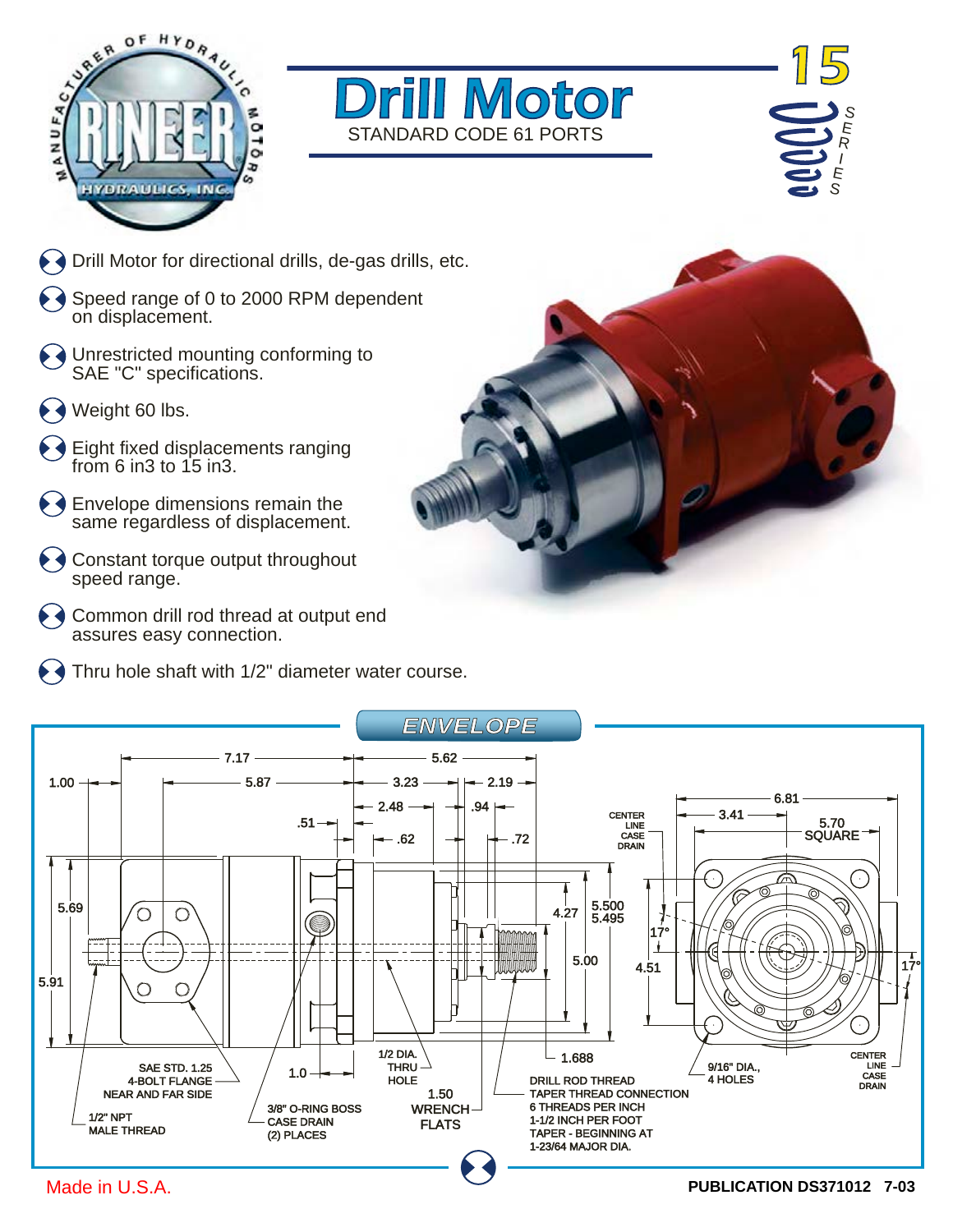





- $\blacklozenge$   $\blacklozenge$  Drill Motor for directional drills, de-gas drills, etc.
- $\leftrightarrow$  Speed range of 0 to 2000 RPM dependent on displacement.
- Unrestricted mounting conforming to SAE "C" specifications.
- $\leftrightarrow$  Weight 60 lbs.
- Eight fixed displacements ranging from 6 in 3 to  $15$  in 3.
- $\blacklozenge$   $\blacklozenge$  Envelope dimensions remain the same regardless of displacement.
- $\leftrightarrow$  Constant torque output throughout speed range.
- ◆ ◆ Common drill rod thread at output end assures easy connection.
- $\blacklozenge$   $\blacklozenge$  Thru hole shaft with 1/2" diameter water course.